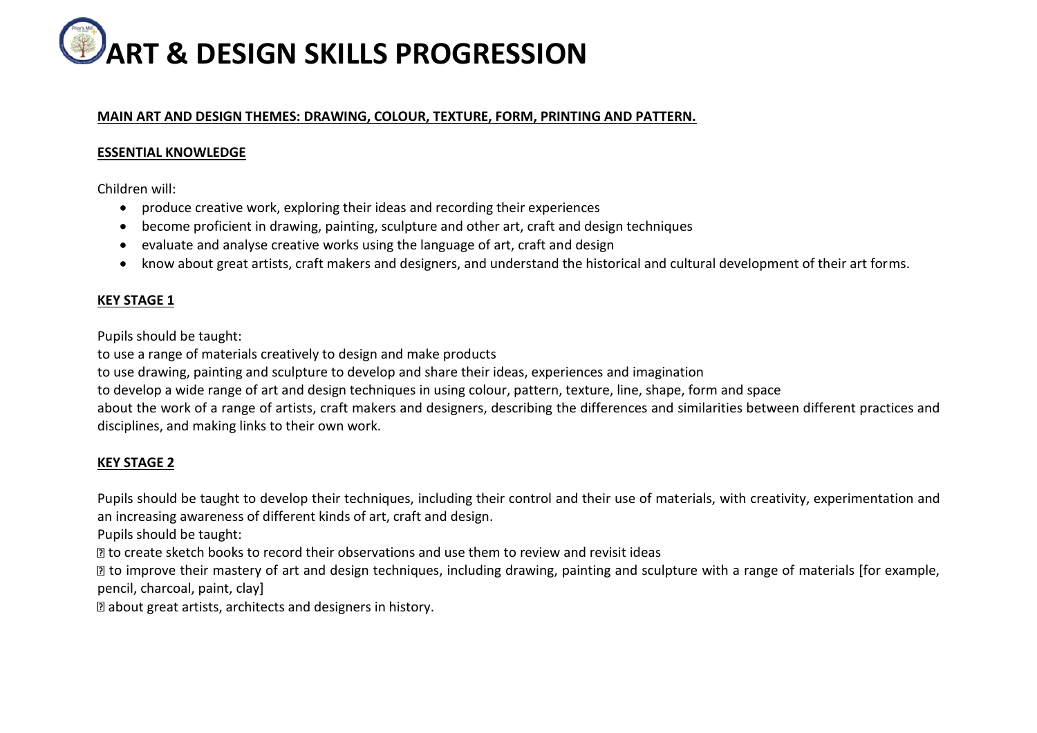# **ART & DESIGN SKILLS PROGRESSION**

#### **MAIN ART AND DESIGN THEMES: DRAWING, COLOUR, TEXTURE, FORM, PRINTING AND PATTERN.**

### **ESSENTIAL KNOWLEDGE**

Children will:

- produce creative work, exploring their ideas and recording their experiences
- become proficient in drawing, painting, sculpture and other art, craft and design techniques
- evaluate and analyse creative works using the language of art, craft and design
- know about great artists, craft makers and designers, and understand the historical and cultural development of their art forms.

#### **KEY STAGE 1**

Pupils should be taught:

to use a range of materials creatively to design and make products

to use drawing, painting and sculpture to develop and share their ideas, experiences and imagination

to develop a wide range of art and design techniques in using colour, pattern, texture, line, shape, form and space

about the work of a range of artists, craft makers and designers, describing the differences and similarities between different practices and disciplines, and making links to their own work.

## **KEY STAGE 2**

Pupils should be taught to develop their techniques, including their control and their use of materials, with creativity, experimentation and an increasing awareness of different kinds of art, craft and design.

Pupils should be taught:

to create sketch books to record their observations and use them to review and revisit ideas

■ to improve their mastery of art and design techniques, including drawing, painting and sculpture with a range of materials [for example, pencil, charcoal, paint, clay]

about great artists, architects and designers in history.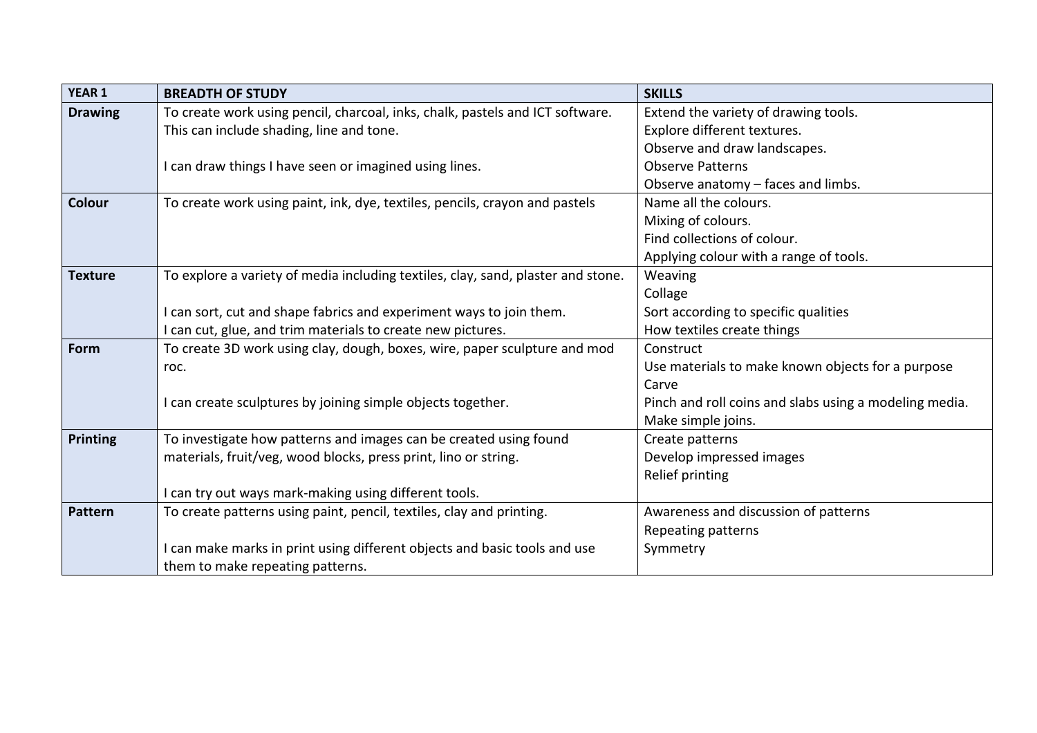| <b>YEAR 1</b>   | <b>BREADTH OF STUDY</b>                                                          | <b>SKILLS</b>                                          |
|-----------------|----------------------------------------------------------------------------------|--------------------------------------------------------|
| <b>Drawing</b>  | To create work using pencil, charcoal, inks, chalk, pastels and ICT software.    | Extend the variety of drawing tools.                   |
|                 | This can include shading, line and tone.                                         | Explore different textures.                            |
|                 |                                                                                  | Observe and draw landscapes.                           |
|                 | I can draw things I have seen or imagined using lines.                           | <b>Observe Patterns</b>                                |
|                 |                                                                                  | Observe anatomy - faces and limbs.                     |
| Colour          | To create work using paint, ink, dye, textiles, pencils, crayon and pastels      | Name all the colours.                                  |
|                 |                                                                                  | Mixing of colours.                                     |
|                 |                                                                                  | Find collections of colour.                            |
|                 |                                                                                  | Applying colour with a range of tools.                 |
| <b>Texture</b>  | To explore a variety of media including textiles, clay, sand, plaster and stone. | Weaving                                                |
|                 |                                                                                  | Collage                                                |
|                 | I can sort, cut and shape fabrics and experiment ways to join them.              | Sort according to specific qualities                   |
|                 | I can cut, glue, and trim materials to create new pictures.                      | How textiles create things                             |
| Form            | To create 3D work using clay, dough, boxes, wire, paper sculpture and mod        | Construct                                              |
|                 | roc.                                                                             | Use materials to make known objects for a purpose      |
|                 |                                                                                  | Carve                                                  |
|                 | I can create sculptures by joining simple objects together.                      | Pinch and roll coins and slabs using a modeling media. |
|                 |                                                                                  | Make simple joins.                                     |
| <b>Printing</b> | To investigate how patterns and images can be created using found                | Create patterns                                        |
|                 | materials, fruit/veg, wood blocks, press print, lino or string.                  | Develop impressed images                               |
|                 |                                                                                  | Relief printing                                        |
|                 | I can try out ways mark-making using different tools.                            |                                                        |
| <b>Pattern</b>  | To create patterns using paint, pencil, textiles, clay and printing.             | Awareness and discussion of patterns                   |
|                 |                                                                                  | Repeating patterns                                     |
|                 | I can make marks in print using different objects and basic tools and use        | Symmetry                                               |
|                 | them to make repeating patterns.                                                 |                                                        |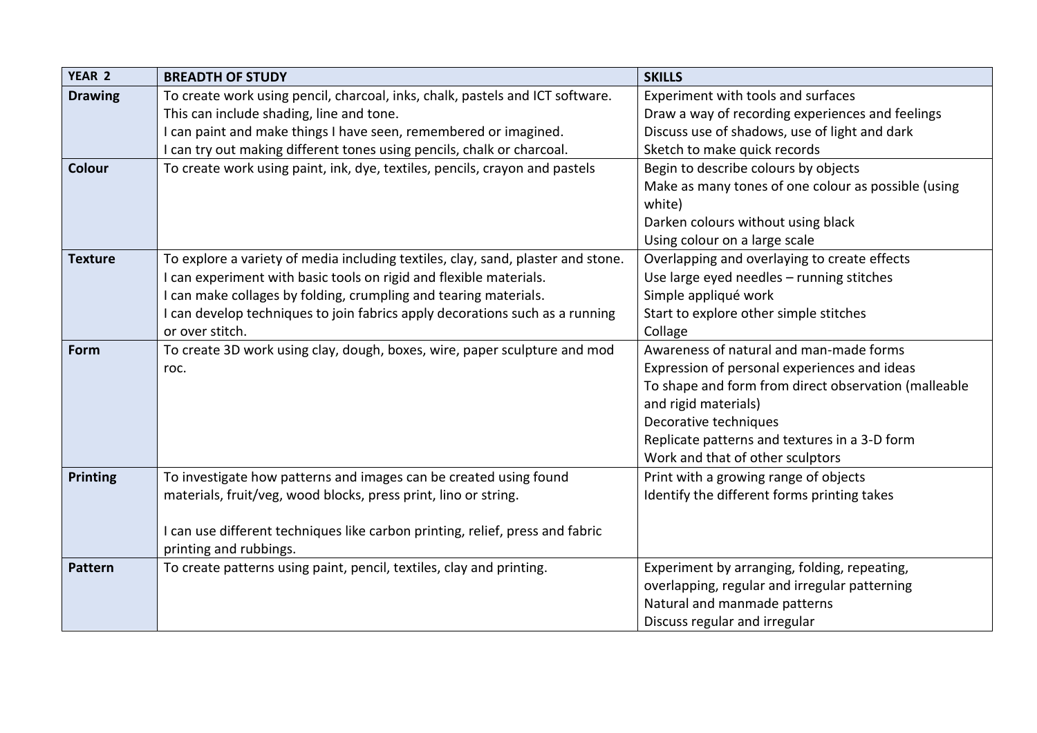| YEAR 2          | <b>BREADTH OF STUDY</b>                                                          | <b>SKILLS</b>                                                 |
|-----------------|----------------------------------------------------------------------------------|---------------------------------------------------------------|
| <b>Drawing</b>  | To create work using pencil, charcoal, inks, chalk, pastels and ICT software.    | Experiment with tools and surfaces                            |
|                 | This can include shading, line and tone.                                         | Draw a way of recording experiences and feelings              |
|                 | I can paint and make things I have seen, remembered or imagined.                 | Discuss use of shadows, use of light and dark                 |
|                 | I can try out making different tones using pencils, chalk or charcoal.           | Sketch to make quick records                                  |
| <b>Colour</b>   | To create work using paint, ink, dye, textiles, pencils, crayon and pastels      | Begin to describe colours by objects                          |
|                 |                                                                                  | Make as many tones of one colour as possible (using<br>white) |
|                 |                                                                                  | Darken colours without using black                            |
|                 |                                                                                  | Using colour on a large scale                                 |
| <b>Texture</b>  | To explore a variety of media including textiles, clay, sand, plaster and stone. | Overlapping and overlaying to create effects                  |
|                 | can experiment with basic tools on rigid and flexible materials.                 | Use large eyed needles - running stitches                     |
|                 | I can make collages by folding, crumpling and tearing materials.                 | Simple appliqué work                                          |
|                 | I can develop techniques to join fabrics apply decorations such as a running     | Start to explore other simple stitches                        |
|                 | or over stitch.                                                                  | Collage                                                       |
| Form            | To create 3D work using clay, dough, boxes, wire, paper sculpture and mod        | Awareness of natural and man-made forms                       |
|                 | roc.                                                                             | Expression of personal experiences and ideas                  |
|                 |                                                                                  | To shape and form from direct observation (malleable          |
|                 |                                                                                  | and rigid materials)                                          |
|                 |                                                                                  | Decorative techniques                                         |
|                 |                                                                                  | Replicate patterns and textures in a 3-D form                 |
|                 |                                                                                  | Work and that of other sculptors                              |
| <b>Printing</b> | To investigate how patterns and images can be created using found                | Print with a growing range of objects                         |
|                 | materials, fruit/veg, wood blocks, press print, lino or string.                  | Identify the different forms printing takes                   |
|                 |                                                                                  |                                                               |
|                 | I can use different techniques like carbon printing, relief, press and fabric    |                                                               |
|                 | printing and rubbings.                                                           |                                                               |
| <b>Pattern</b>  | To create patterns using paint, pencil, textiles, clay and printing.             | Experiment by arranging, folding, repeating,                  |
|                 |                                                                                  | overlapping, regular and irregular patterning                 |
|                 |                                                                                  | Natural and manmade patterns                                  |
|                 |                                                                                  | Discuss regular and irregular                                 |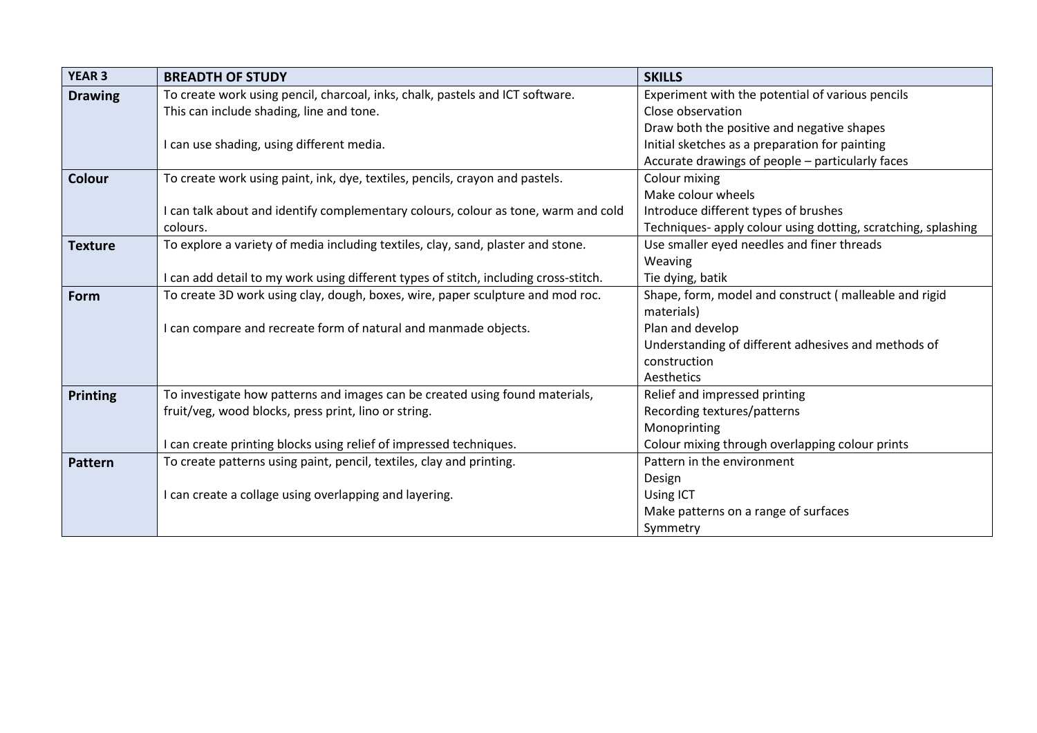| <b>YEAR 3</b>  | <b>BREADTH OF STUDY</b>                                                              | <b>SKILLS</b>                                                 |
|----------------|--------------------------------------------------------------------------------------|---------------------------------------------------------------|
| <b>Drawing</b> | To create work using pencil, charcoal, inks, chalk, pastels and ICT software.        | Experiment with the potential of various pencils              |
|                | This can include shading, line and tone.                                             | Close observation                                             |
|                |                                                                                      | Draw both the positive and negative shapes                    |
|                | I can use shading, using different media.                                            | Initial sketches as a preparation for painting                |
|                |                                                                                      | Accurate drawings of people - particularly faces              |
| <b>Colour</b>  | To create work using paint, ink, dye, textiles, pencils, crayon and pastels.         | Colour mixing                                                 |
|                |                                                                                      | Make colour wheels                                            |
|                | I can talk about and identify complementary colours, colour as tone, warm and cold   | Introduce different types of brushes                          |
|                | colours.                                                                             | Techniques- apply colour using dotting, scratching, splashing |
| <b>Texture</b> | To explore a variety of media including textiles, clay, sand, plaster and stone.     | Use smaller eyed needles and finer threads                    |
|                |                                                                                      | Weaving                                                       |
|                | I can add detail to my work using different types of stitch, including cross-stitch. | Tie dying, batik                                              |
| Form           | To create 3D work using clay, dough, boxes, wire, paper sculpture and mod roc.       | Shape, form, model and construct (malleable and rigid         |
|                |                                                                                      | materials)                                                    |
|                | I can compare and recreate form of natural and manmade objects.                      | Plan and develop                                              |
|                |                                                                                      | Understanding of different adhesives and methods of           |
|                |                                                                                      | construction                                                  |
|                |                                                                                      | Aesthetics                                                    |
| Printing       | To investigate how patterns and images can be created using found materials,         | Relief and impressed printing                                 |
|                | fruit/veg, wood blocks, press print, lino or string.                                 | Recording textures/patterns                                   |
|                |                                                                                      | Monoprinting                                                  |
|                | I can create printing blocks using relief of impressed techniques.                   | Colour mixing through overlapping colour prints               |
| <b>Pattern</b> | To create patterns using paint, pencil, textiles, clay and printing.                 | Pattern in the environment                                    |
|                |                                                                                      | Design                                                        |
|                | I can create a collage using overlapping and layering.                               | Using ICT                                                     |
|                |                                                                                      | Make patterns on a range of surfaces                          |
|                |                                                                                      | Symmetry                                                      |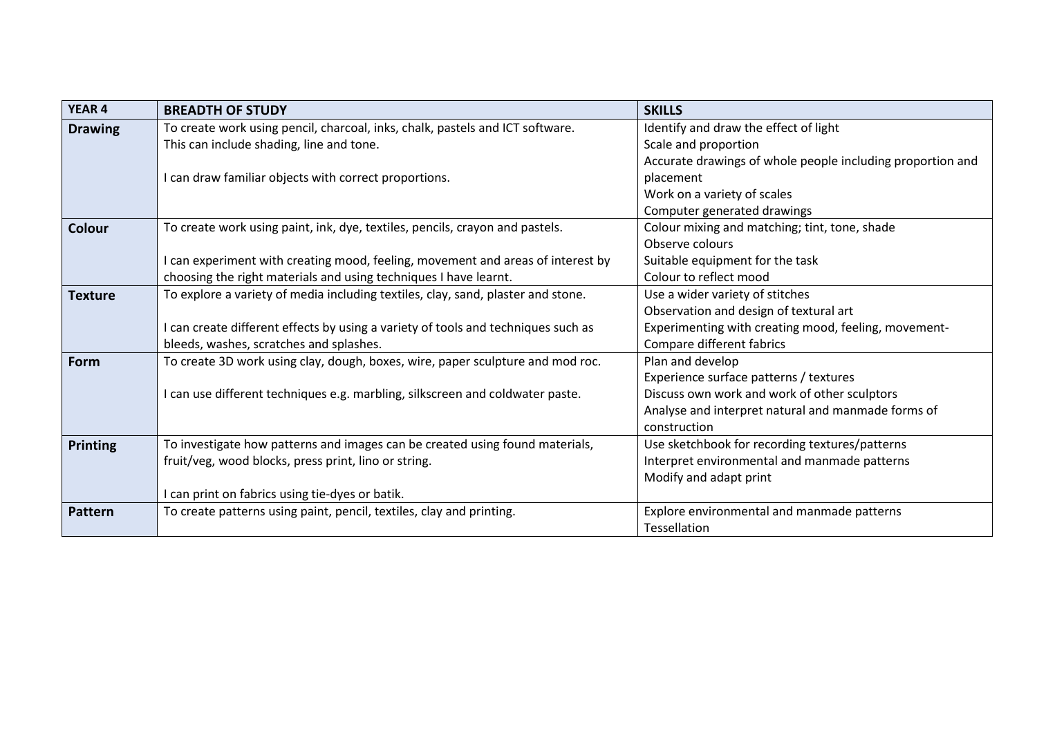| <b>YEAR 4</b>   | <b>BREADTH OF STUDY</b>                                                           | <b>SKILLS</b>                                              |
|-----------------|-----------------------------------------------------------------------------------|------------------------------------------------------------|
| <b>Drawing</b>  | To create work using pencil, charcoal, inks, chalk, pastels and ICT software.     | Identify and draw the effect of light                      |
|                 | This can include shading, line and tone.                                          | Scale and proportion                                       |
|                 |                                                                                   | Accurate drawings of whole people including proportion and |
|                 | I can draw familiar objects with correct proportions.                             | placement                                                  |
|                 |                                                                                   | Work on a variety of scales                                |
|                 |                                                                                   | Computer generated drawings                                |
| Colour          | To create work using paint, ink, dye, textiles, pencils, crayon and pastels.      | Colour mixing and matching; tint, tone, shade              |
|                 |                                                                                   | Observe colours                                            |
|                 | I can experiment with creating mood, feeling, movement and areas of interest by   | Suitable equipment for the task                            |
|                 | choosing the right materials and using techniques I have learnt.                  | Colour to reflect mood                                     |
| <b>Texture</b>  | To explore a variety of media including textiles, clay, sand, plaster and stone.  | Use a wider variety of stitches                            |
|                 |                                                                                   | Observation and design of textural art                     |
|                 | I can create different effects by using a variety of tools and techniques such as | Experimenting with creating mood, feeling, movement-       |
|                 | bleeds, washes, scratches and splashes.                                           | Compare different fabrics                                  |
| Form            | To create 3D work using clay, dough, boxes, wire, paper sculpture and mod roc.    | Plan and develop                                           |
|                 |                                                                                   | Experience surface patterns / textures                     |
|                 | I can use different techniques e.g. marbling, silkscreen and coldwater paste.     | Discuss own work and work of other sculptors               |
|                 |                                                                                   | Analyse and interpret natural and manmade forms of         |
|                 |                                                                                   | construction                                               |
| <b>Printing</b> | To investigate how patterns and images can be created using found materials,      | Use sketchbook for recording textures/patterns             |
|                 | fruit/veg, wood blocks, press print, lino or string.                              | Interpret environmental and manmade patterns               |
|                 |                                                                                   | Modify and adapt print                                     |
|                 | I can print on fabrics using tie-dyes or batik.                                   |                                                            |
| <b>Pattern</b>  | To create patterns using paint, pencil, textiles, clay and printing.              | Explore environmental and manmade patterns                 |
|                 |                                                                                   | Tessellation                                               |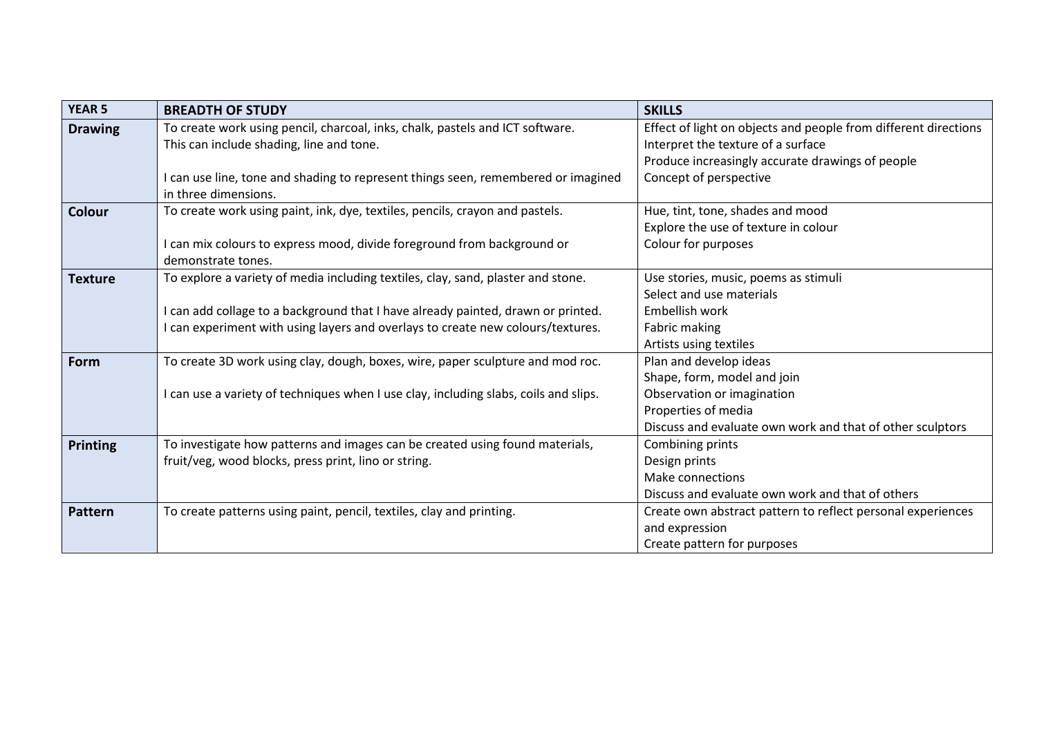| <b>YEAR 5</b>  | <b>BREADTH OF STUDY</b>                                                              | <b>SKILLS</b>                                                   |
|----------------|--------------------------------------------------------------------------------------|-----------------------------------------------------------------|
| <b>Drawing</b> | To create work using pencil, charcoal, inks, chalk, pastels and ICT software.        | Effect of light on objects and people from different directions |
|                | This can include shading, line and tone.                                             | Interpret the texture of a surface                              |
|                |                                                                                      | Produce increasingly accurate drawings of people                |
|                | I can use line, tone and shading to represent things seen, remembered or imagined    | Concept of perspective                                          |
|                | in three dimensions.                                                                 |                                                                 |
| <b>Colour</b>  | To create work using paint, ink, dye, textiles, pencils, crayon and pastels.         | Hue, tint, tone, shades and mood                                |
|                |                                                                                      | Explore the use of texture in colour                            |
|                | I can mix colours to express mood, divide foreground from background or              | Colour for purposes                                             |
|                | demonstrate tones.                                                                   |                                                                 |
| <b>Texture</b> | To explore a variety of media including textiles, clay, sand, plaster and stone.     | Use stories, music, poems as stimuli                            |
|                |                                                                                      | Select and use materials                                        |
|                | I can add collage to a background that I have already painted, drawn or printed.     | Embellish work                                                  |
|                | I can experiment with using layers and overlays to create new colours/textures.      | Fabric making                                                   |
|                |                                                                                      | Artists using textiles                                          |
| Form           | To create 3D work using clay, dough, boxes, wire, paper sculpture and mod roc.       | Plan and develop ideas                                          |
|                |                                                                                      | Shape, form, model and join                                     |
|                | I can use a variety of techniques when I use clay, including slabs, coils and slips. | Observation or imagination                                      |
|                |                                                                                      | Properties of media                                             |
|                |                                                                                      | Discuss and evaluate own work and that of other sculptors       |
| Printing       | To investigate how patterns and images can be created using found materials,         | Combining prints                                                |
|                | fruit/veg, wood blocks, press print, lino or string.                                 | Design prints                                                   |
|                |                                                                                      | Make connections                                                |
|                |                                                                                      | Discuss and evaluate own work and that of others                |
| <b>Pattern</b> | To create patterns using paint, pencil, textiles, clay and printing.                 | Create own abstract pattern to reflect personal experiences     |
|                |                                                                                      | and expression                                                  |
|                |                                                                                      | Create pattern for purposes                                     |